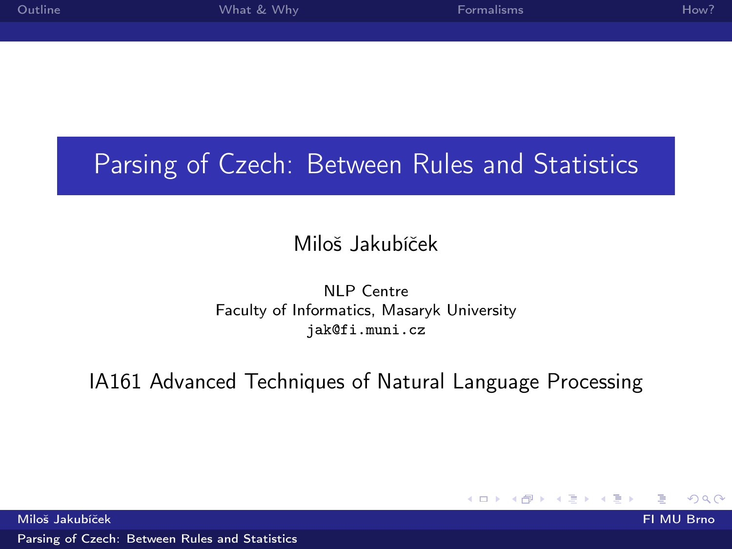<span id="page-0-0"></span>

| Outline | What & Why | Formalisms | How? |
|---------|------------|------------|------|
|         |            |            |      |
|         |            |            |      |
|         |            |            |      |

# Parsing of Czech: Between Rules and Statistics

### Miloš Jakubíček

#### NLP Centre Faculty of Informatics, Masaryk University jak@fi.muni.cz

#### IA161 Advanced Techniques of Natural Language Processing

**◆ ロ ▶ → イ 冊** 

つへへ

Miloš Jakubíček FI MU Brno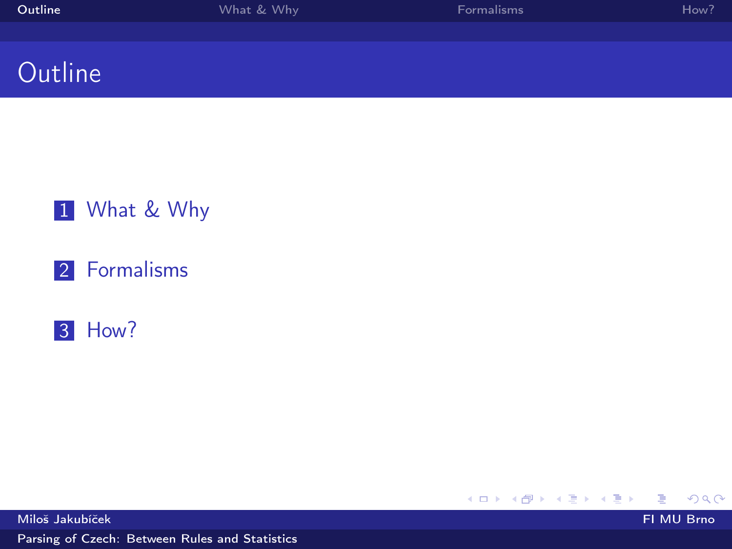<span id="page-1-0"></span>

| Outline | What & Why | <b>Formalisms</b> | How? |
|---------|------------|-------------------|------|
|         |            |                   |      |
|         |            |                   |      |
| Outline |            |                   |      |

### 1 [What & Why](#page-2-0)

#### 2 [Formalisms](#page-3-0)

#### 3 [How?](#page-6-0)

メロト メタト メミト メミト  $299$ ∍

Miloš Jakubíček FI MU Brno

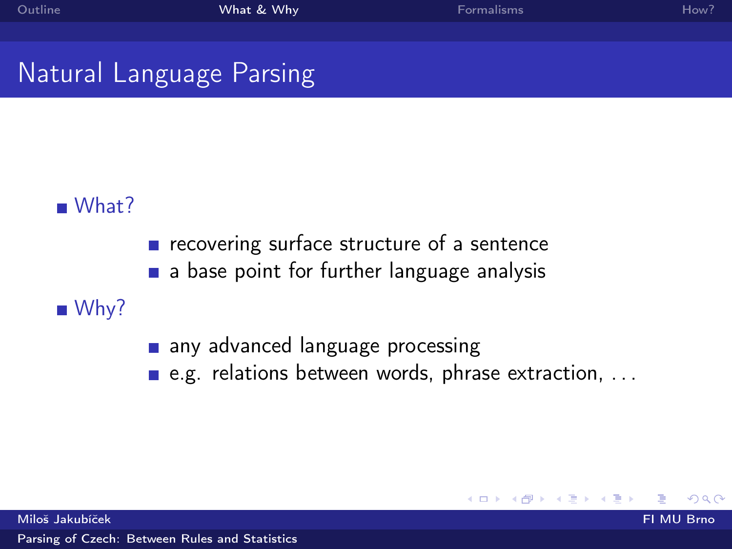4. 0. 8. ∢ @ つへへ

# <span id="page-2-0"></span>Natural Language Parsing

### What?

- $\blacksquare$  recovering surface structure of a sentence
- a base point for further language analysis

### $W$ hy?

- any advanced language processing
- e.g. relations between words, phrase extraction, ...

Miloš Jakubíček FI MU Brno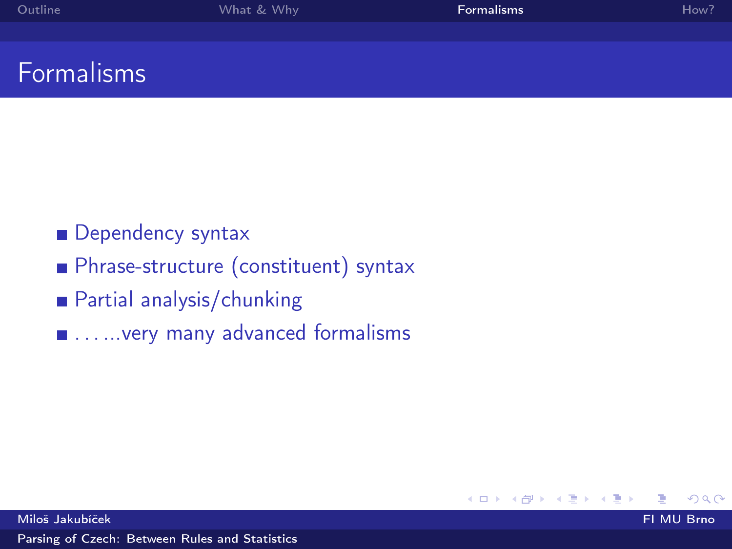<span id="page-3-0"></span>

| Outline  | What & Why | <b>Formalisms</b> | How? |
|----------|------------|-------------------|------|
|          |            |                   |      |
| . .<br>_ |            |                   |      |

# Formalisms

#### **Dependency syntax**

#### **Phrase-structure (constituent) syntax**

- Partial analysis/chunking
- $\blacksquare$  . . . . . . very many advanced formalisms

つへへ

**K ロ ⊁ K 伊 ⊁ K** 

ヨッ

 $\Rightarrow$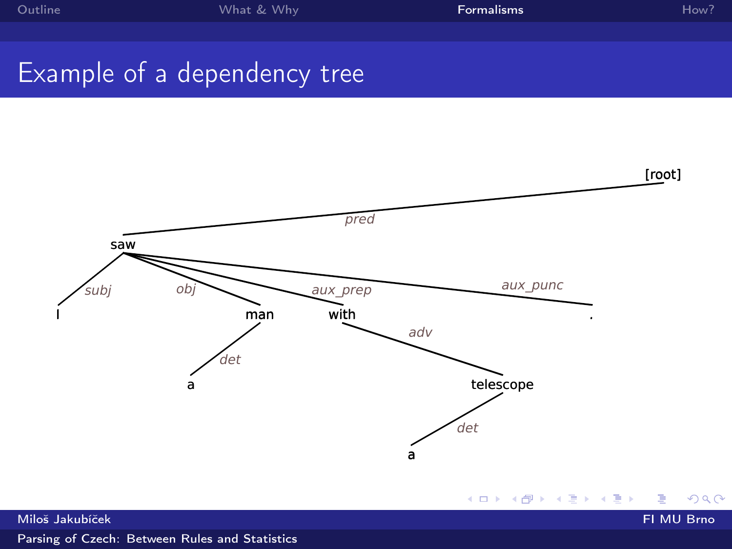# Example of a dependency tree

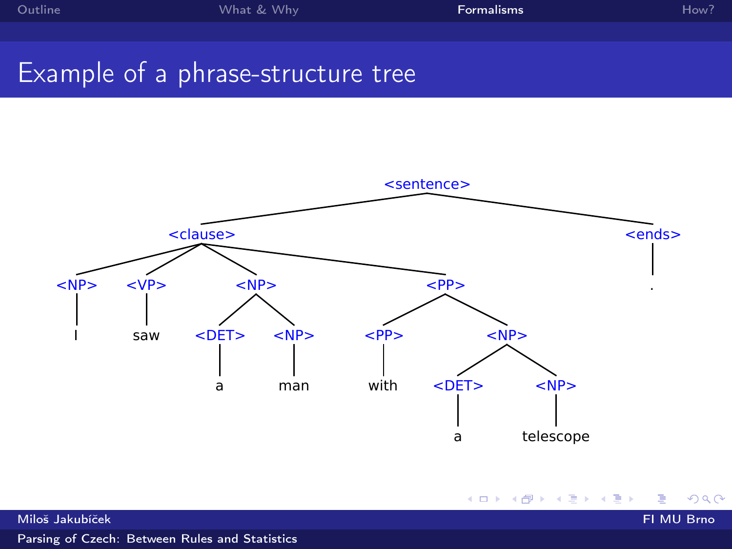メロト メ都 トメ きょ メ きょ

 $299$ 

# Example of a phrase-structure tree



Miloš Jakubíček FI MU Brno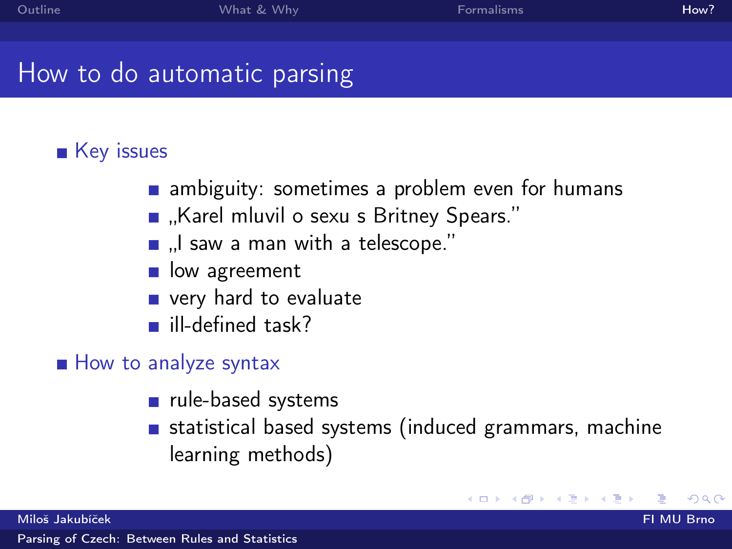# <span id="page-6-0"></span>How to do automatic parsing

### ■ Key issues

- **n** ambiguity: sometimes a problem even for humans
- "Karel mluvil o sexu s Britney Spears."
- ... I saw a man with a telescope."
- ow agreement
- very hard to evaluate
- lacklined task?

### How to analyze syntax

- $\blacksquare$  rule-based systems
- statistical based systems (induced grammars, machine learning methods)

**≮ロト ⊀ 御 ⊁ (モ )**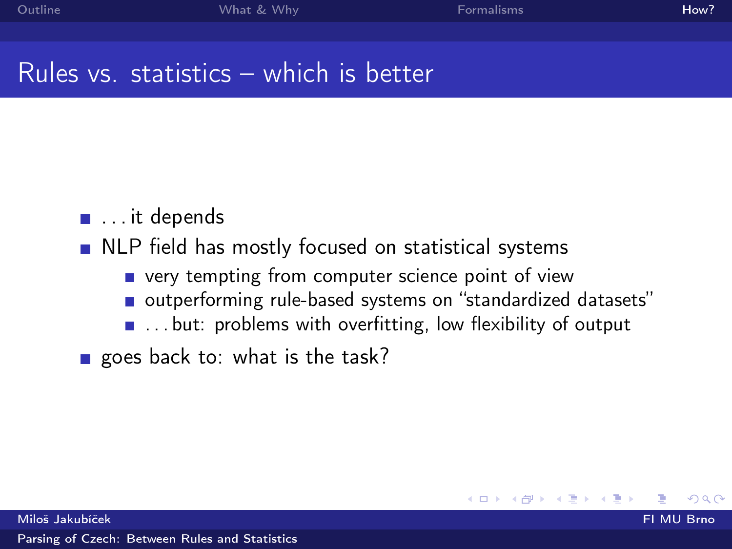**◆ ロ ▶ → イ 印** 

 $\Omega$ 

## Rules vs. statistics – which is better

- ... it depends
- **NLP** field has mostly focused on statistical systems
	- **very tempting from computer science point of view**
	- outperforming rule-based systems on "standardized datasets"
	- $\blacksquare$  ... but: problems with overfitting, low flexibility of output

goes back to: what is the task?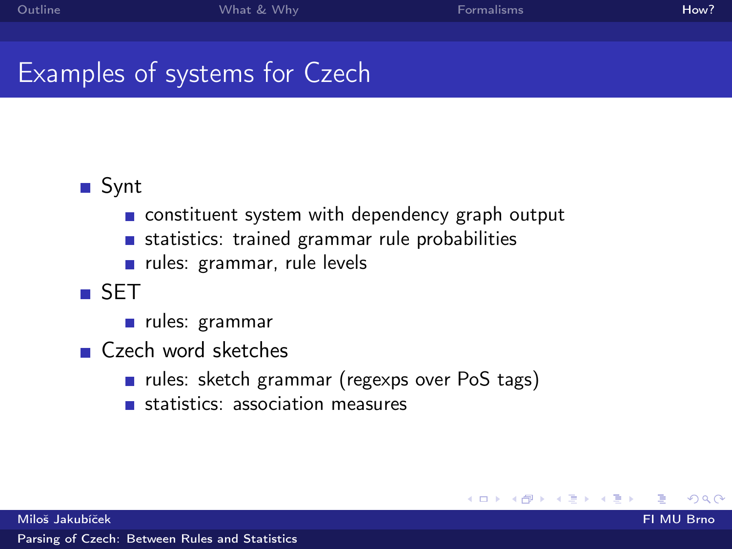**K ロ ト K 何 ト** 

Þ

つへへ

# Examples of systems for Czech

### ■ Synt

- constituent system with dependency graph output
- statistics: trained grammar rule probabilities  $\blacksquare$
- rules: grammar, rule levels
- SET
	- u rules: grammar
- Czech word sketches
	- u rules: sketch grammar (regexps over PoS tags)
	- statistics: association measures